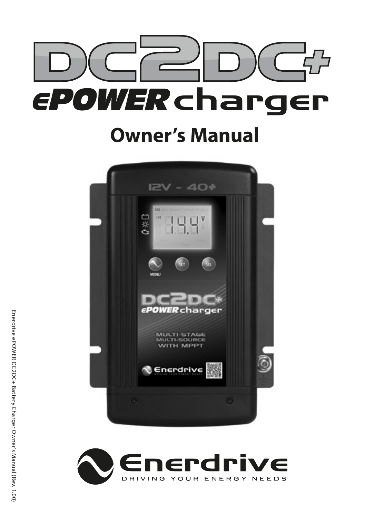



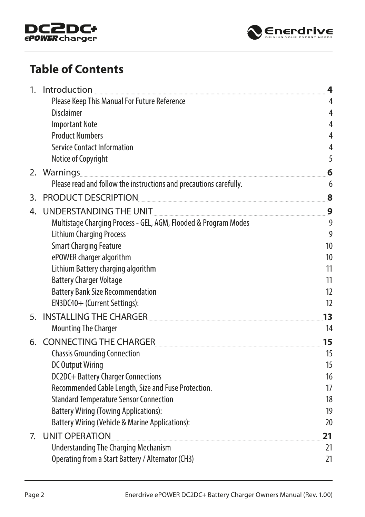



## **Table of Contents**

| 1 <sup>1</sup> | Introduction                                                                      | 4              |
|----------------|-----------------------------------------------------------------------------------|----------------|
|                | Please Keep This Manual For Future Reference                                      | 4              |
|                | <b>Disclaimer</b>                                                                 | $\overline{4}$ |
|                | <b>Important Note</b>                                                             | 4              |
|                | <b>Product Numbers</b>                                                            | $\overline{4}$ |
|                | <b>Service Contact Information</b><br>Notice of Copyright                         | 4<br>5         |
|                |                                                                                   | 6              |
|                | 2. Warnings<br>Please read and follow the instructions and precautions carefully. | 6              |
| 3.             | PRODUCT DESCRIPTION                                                               |                |
| 4.             | UNDERSTANDING THE UNIT                                                            | $\overline{9}$ |
|                | Multistage Charging Process - GEL, AGM, Flooded & Program Modes                   | 9              |
|                | <b>Lithium Charging Process</b>                                                   | 9              |
|                | <b>Smart Charging Feature</b>                                                     | 10             |
|                | ePOWER charger algorithm                                                          | 10             |
|                | Lithium Battery charging algorithm                                                | 11             |
|                | <b>Battery Charger Voltage</b>                                                    | 11             |
|                | <b>Battery Bank Size Recommendation</b>                                           | 12             |
|                | EN3DC40+ (Current Settings):                                                      | 12             |
| 5.             | INSTALLING THE CHARGER                                                            | 13             |
|                | <b>Mounting The Charger</b>                                                       | 14             |
| 6.             | CONNECTING THE CHARGER                                                            | 15             |
|                | <b>Chassis Grounding Connection</b>                                               | 15             |
|                | DC Output Wiring                                                                  | 15             |
|                | DC2DC+ Battery Charger Connections                                                | 16             |
|                | Recommended Cable Length, Size and Fuse Protection.                               | 17             |
|                | <b>Standard Temperature Sensor Connection</b>                                     | 18             |
|                | <b>Battery Wiring (Towing Applications):</b>                                      | 19             |
|                | Battery Wiring (Vehicle & Marine Applications):                                   | 20             |
| 7.             | <b>UNIT OPERATION</b>                                                             | 21             |
|                | <b>Understanding The Charging Mechanism</b>                                       | 21             |
|                | Operating from a Start Battery / Alternator (CH3)                                 | 21             |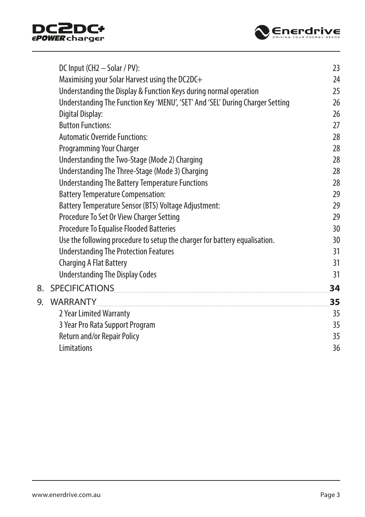



|    | DC Input (CH2 - Solar / PV):                                                  | 23 |
|----|-------------------------------------------------------------------------------|----|
|    | Maximising your Solar Harvest using the DC2DC+                                | 24 |
|    | Understanding the Display & Function Keys during normal operation             | 25 |
|    | Understanding The Function Key 'MENU', 'SET' And 'SEL' During Charger Setting | 26 |
|    | Digital Display:                                                              | 26 |
|    | <b>Button Functions:</b>                                                      | 27 |
|    | <b>Automatic Override Functions:</b>                                          | 28 |
|    | <b>Programming Your Charger</b>                                               | 28 |
|    | Understanding the Two-Stage (Mode 2) Charging                                 | 28 |
|    | Understanding The Three-Stage (Mode 3) Charging                               | 28 |
|    | <b>Understanding The Battery Temperature Functions</b>                        | 28 |
|    | <b>Battery Temperature Compensation:</b>                                      | 29 |
|    | Battery Temperature Sensor (BTS) Voltage Adjustment:                          | 29 |
|    | Procedure To Set Or View Charger Setting                                      | 29 |
|    | Procedure To Equalise Flooded Batteries                                       | 30 |
|    | Use the following procedure to setup the charger for battery equalisation.    | 30 |
|    | <b>Understanding The Protection Features</b>                                  | 31 |
|    | <b>Charging A Flat Battery</b>                                                | 31 |
|    | <b>Understanding The Display Codes</b>                                        | 31 |
| 8. | SPECIFICATIONS                                                                | 34 |
| 9. | WARRANTY                                                                      | 35 |
|    | 2 Year Limited Warranty                                                       | 35 |
|    | 3 Year Pro Rata Support Program                                               | 35 |
|    | Return and/or Repair Policy                                                   | 35 |
|    | <b>Limitations</b>                                                            | 36 |
|    |                                                                               |    |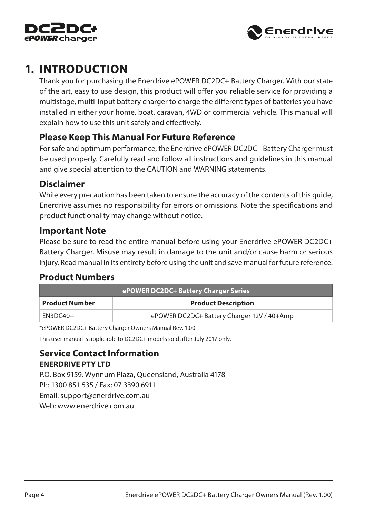<span id="page-3-0"></span>



## **1. INTRODUCTION**

Thank you for purchasing the Enerdrive ePOWER DC2DC+ Battery Charger. With our state of the art, easy to use design, this product will offer you reliable service for providing a multistage, multi-input battery charger to charge the different types of batteries you have installed in either your home, boat, caravan, 4WD or commercial vehicle. This manual will explain how to use this unit safely and effectively.

#### **Please Keep This Manual For Future Reference**

For safe and optimum performance, the Enerdrive ePOWER DC2DC+ Battery Charger must be used properly. Carefully read and follow all instructions and guidelines in this manual and give special attention to the CAUTION and WARNING statements.

#### **Disclaimer**

While every precaution has been taken to ensure the accuracy of the contents of this guide, Enerdrive assumes no responsibility for errors or omissions. Note the specifications and product functionality may change without notice.

#### **Important Note**

Please be sure to read the entire manual before using your Enerdrive ePOWER DC2DC+ Battery Charger. Misuse may result in damage to the unit and/or cause harm or serious injury. Read manual in its entirety before using the unit and save manual for future reference.

#### **Product Numbers**

| ePOWER DC2DC+ Battery Charger Series |                                            |  |  |
|--------------------------------------|--------------------------------------------|--|--|
| <b>Product Number</b>                | <b>Product Description</b>                 |  |  |
| $EN3DC40+$                           | ePOWER DC2DC+ Battery Charger 12V / 40+Amp |  |  |

\*ePOWER DC2DC+ Battery Charger Owners Manual Rev. 1.00.

This user manual is applicable to DC2DC+ models sold after July 2017 only.

#### **Service Contact Information ENERDRIVE PTY LTD**

P.O. Box 9159, Wynnum Plaza, Queensland, Australia 4178 Ph: 1300 851 535 / Fax: 07 3390 6911 Email: support@enerdrive.com.au Web: www.enerdrive.com.au.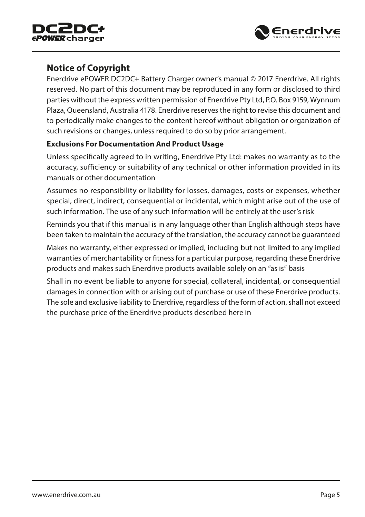<span id="page-4-0"></span>



#### **Notice of Copyright**

Enerdrive ePOWER DC2DC+ Battery Charger owner's manual © 2017 Enerdrive. All rights reserved. No part of this document may be reproduced in any form or disclosed to third parties without the express written permission of Enerdrive Pty Ltd, P.O. Box 9159, Wynnum Plaza, Queensland, Australia 4178. Enerdrive reserves the right to revise this document and to periodically make changes to the content hereof without obligation or organization of such revisions or changes, unless required to do so by prior arrangement.

#### **Exclusions For Documentation And Product Usage**

Unless specifically agreed to in writing, Enerdrive Pty Ltd: makes no warranty as to the accuracy, sufficiency or suitability of any technical or other information provided in its manuals or other documentation

Assumes no responsibility or liability for losses, damages, costs or expenses, whether special, direct, indirect, consequential or incidental, which might arise out of the use of such information. The use of any such information will be entirely at the user's risk

Reminds you that if this manual is in any language other than English although steps have been taken to maintain the accuracy of the translation, the accuracy cannot be guaranteed

Makes no warranty, either expressed or implied, including but not limited to any implied warranties of merchantability or fitness for a particular purpose, regarding these Enerdrive products and makes such Enerdrive products available solely on an "as is" basis

Shall in no event be liable to anyone for special, collateral, incidental, or consequential damages in connection with or arising out of purchase or use of these Enerdrive products. The sole and exclusive liability to Enerdrive, regardless of the form of action, shall not exceed the purchase price of the Enerdrive products described here in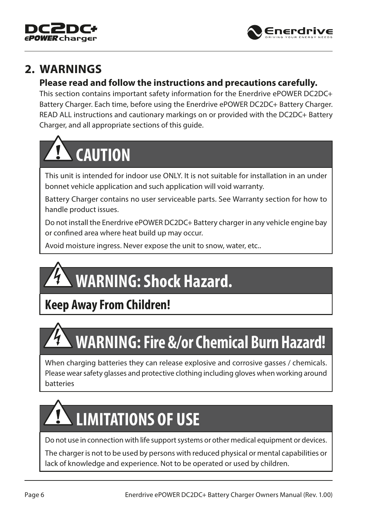<span id="page-5-0"></span>



## **2. WARNINGS**

### **Please read and follow the instructions and precautions carefully.**

This section contains important safety information for the Enerdrive ePOWER DC2DC+ Battery Charger. Each time, before using the Enerdrive ePOWER DC2DC+ Battery Charger. READ ALL instructions and cautionary markings on or provided with the DC2DC+ Battery Charger, and all appropriate sections of this guide.

# **CAUTION**

This unit is intended for indoor use ONLY. It is not suitable for installation in an under bonnet vehicle application and such application will void warranty.

Battery Charger contains no user serviceable parts. See Warranty section for how to handle product issues.

Do not install the Enerdrive ePOWER DC2DC+ Battery charger in any vehicle engine bay or confined area where heat build up may occur.

Avoid moisture ingress. Never expose the unit to snow, water, etc..

# **WARNING: Shock Hazard.**

## **Keep Away From Children!**

# **WARNING: Fire &/or Chemical Burn Hazard!**

When charging batteries they can release explosive and corrosive gasses / chemicals. Please wear safety glasses and protective clothing including gloves when working around batteries

# **LIMITATIONS OF USE**

Do not use in connection with life support systems or other medical equipment or devices.

The charger is not to be used by persons with reduced physical or mental capabilities or lack of knowledge and experience. Not to be operated or used by children.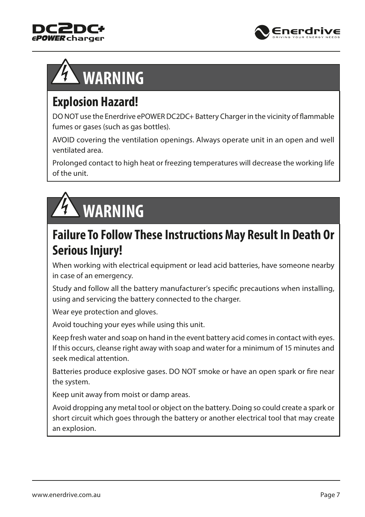



# **WARNING**

## **Explosion Hazard!**

DO NOT use the Enerdrive ePOWER DC2DC+ Battery Charger in the vicinity of flammable fumes or gases (such as gas bottles).

AVOID covering the ventilation openings. Always operate unit in an open and well ventilated area.

Prolonged contact to high heat or freezing temperatures will decrease the working life of the unit.

# **WARNING**

## **Failure To Follow These Instructions May Result In Death Or Serious Injury!**

When working with electrical equipment or lead acid batteries, have someone nearby in case of an emergency.

Study and follow all the battery manufacturer's specific precautions when installing, using and servicing the battery connected to the charger.

Wear eye protection and gloves.

Avoid touching your eyes while using this unit.

Keep fresh water and soap on hand in the event battery acid comes in contact with eyes. If this occurs, cleanse right away with soap and water for a minimum of 15 minutes and seek medical attention.

Batteries produce explosive gases. DO NOT smoke or have an open spark or fire near the system.

Keep unit away from moist or damp areas.

Avoid dropping any metal tool or object on the battery. Doing so could create a spark or short circuit which goes through the battery or another electrical tool that may create an explosion.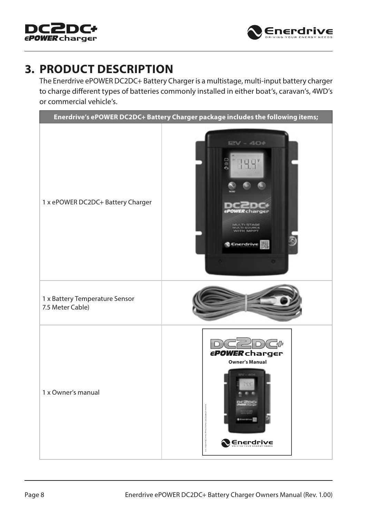<span id="page-7-0"></span>

## **3. PRODUCT DESCRIPTION**

The Enerdrive ePOWER DC2DC+ Battery Charger is a multistage, multi-input battery charger to charge different types of batteries commonly installed in either boat's, caravan's, 4WD's or commercial vehicle's.

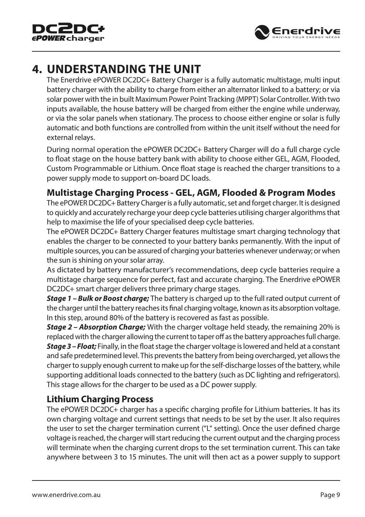<span id="page-8-0"></span>



## **4. UNDERSTANDING THE UNIT**

The Enerdrive ePOWER DC2DC+ Battery Charger is a fully automatic multistage, multi input battery charger with the ability to charge from either an alternator linked to a battery; or via solar power with the in built Maximum Power Point Tracking (MPPT) Solar Controller. With two inputs available, the house battery will be charged from either the engine while underway, or via the solar panels when stationary. The process to choose either engine or solar is fully automatic and both functions are controlled from within the unit itself without the need for external relays.

During normal operation the ePOWER DC2DC+ Battery Charger will do a full charge cycle to float stage on the house battery bank with ability to choose either GEL, AGM, Flooded, Custom Programmable or Lithium. Once float stage is reached the charger transitions to a power supply mode to support on-board DC loads.

#### **Multistage Charging Process - GEL, AGM, Flooded & Program Modes**

The ePOWER DC2DC+ Battery Charger is a fully automatic, set and forget charger. It is designed to quickly and accurately recharge your deep cycle batteries utilising charger algorithms that help to maximise the life of your specialised deep cycle batteries.

The ePOWER DC2DC+ Battery Charger features multistage smart charging technology that enables the charger to be connected to your battery banks permanently. With the input of multiple sources, you can be assured of charging your batteries whenever underway; or when the sun is shining on your solar array.

As dictated by battery manufacturer's recommendations, deep cycle batteries require a multistage charge sequence for perfect, fast and accurate charging. The Enerdrive ePOWER DC2DC+ smart charger delivers three primary charge stages.

**Stage 1 – Bulk or Boost charge:** The battery is charged up to the full rated output current of the charger until the battery reaches its final charging voltage, known as its absorption voltage. In this step, around 80% of the battery is recovered as fast as possible.

*Stage 2 – Absorption Charge;* With the charger voltage held steady, the remaining 20% is replaced with the charger allowing the current to taper off as the battery approaches full charge. *Stage 3 – Float;* Finally, in the float stage the charger voltage is lowered and held at a constant and safe predetermined level. This prevents the battery from being overcharged, yet allows the charger to supply enough current to make up for the self-discharge losses of the battery, while supporting additional loads connected to the battery (such as DC lighting and refrigerators). This stage allows for the charger to be used as a DC power supply.

#### **Lithium Charging Process**

The ePOWER DC2DC+ charger has a specific charging profile for Lithium batteries. It has its own charging voltage and current settings that needs to be set by the user. It also requires the user to set the charger termination current ("L" setting). Once the user defined charge voltage is reached, the charger will start reducing the current output and the charging process will terminate when the charging current drops to the set termination current. This can take anywhere between 3 to 15 minutes. The unit will then act as a power supply to support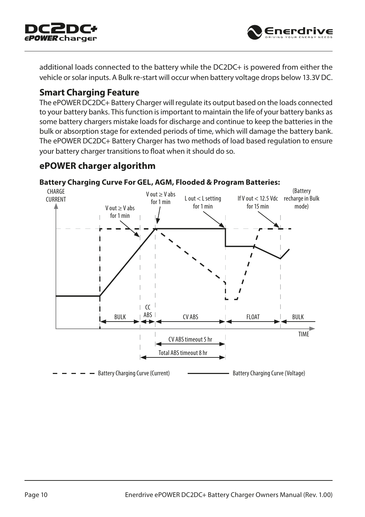<span id="page-9-0"></span>



additional loads connected to the battery while the DC2DC+ is powered from either the vehicle or solar inputs. A Bulk re-start will occur when battery voltage drops below 13.3V DC.

#### **Smart Charging Feature**

The ePOWER DC2DC+ Battery Charger will regulate its output based on the loads connected to your battery banks. This function is important to maintain the life of your battery banks as some battery chargers mistake loads for discharge and continue to keep the batteries in the bulk or absorption stage for extended periods of time, which will damage the battery bank. The ePOWER DC2DC+ Battery Charger has two methods of load based regulation to ensure your battery charger transitions to float when it should do so.

### **ePOWER charger algorithm**

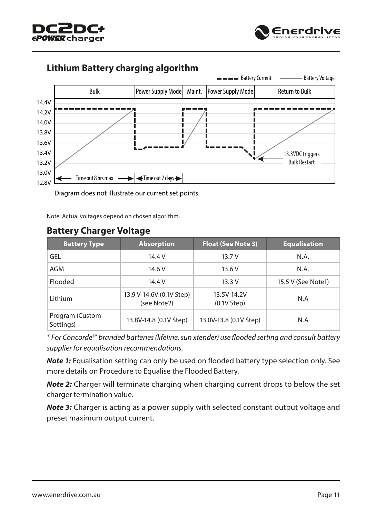<span id="page-10-0"></span>



### **Lithium Battery charging algorithm**



Diagram does not illustrate our current set points.

Note: Actual voltages depend on chosen algorithm.

#### **Battery Charger Voltage**

| <b>Battery Type</b>          | <b>Absorption</b>                       | <b>Float (See Note 3)</b>       | <b>Equalisation</b> |
|------------------------------|-----------------------------------------|---------------------------------|---------------------|
| GEL                          | 14.4 V                                  | 13.7 V                          | N.A.                |
| AGM                          | 14.6 V                                  | 13.6 V                          | N.A.                |
| Flooded                      | 14.4 V                                  | 13.3V                           | 15.5 V (See Note1)  |
| Lithium                      | 13.9 V-14.6V (0.1V Step)<br>(see Note2) | 13.5V-14.2V<br>$(0.1V$ Step $)$ | N.A                 |
| Program (Custom<br>Settings) | 13.8V-14.8 (0.1V Step)                  | 13.0V-13.8 (0.1V Step)          | N.A                 |

*\* For Concorde™ branded batteries (lifeline, sun xtender) use flooded setting and consult battery supplier for equalisation recommendations.*

*Note 1:* Equalisation setting can only be used on flooded battery type selection only. See more details on Procedure to Equalise the Flooded Battery.

*Note 2:* Charger will terminate charging when charging current drops to below the set charger termination value.

*Note 3:* Charger is acting as a power supply with selected constant output voltage and preset maximum output current.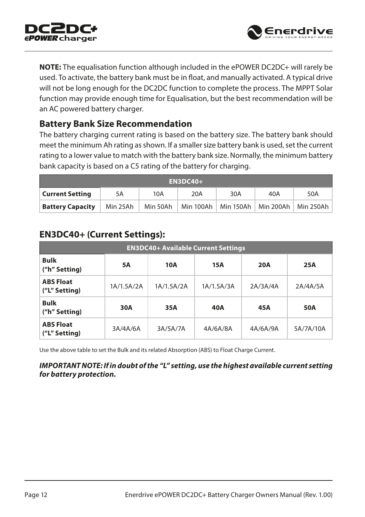<span id="page-11-0"></span>



**NOTE:** The equalisation function although included in the ePOWER DC2DC+ will rarely be used. To activate, the battery bank must be in float, and manually activated. A typical drive will not be long enough for the DC2DC function to complete the process. The MPPT Solar function may provide enough time for Equalisation, but the best recommendation will be an AC powered battery charger.

#### **Battery Bank Size Recommendation**

The battery charging current rating is based on the battery size. The battery bank should meet the minimum Ah rating as shown. If a smaller size battery bank is used, set the current rating to a lower value to match with the battery bank size. Normally, the minimum battery bank capacity is based on a C5 rating of the battery for charging.

| EN3DC40+                |          |          |     |     |                                   |           |
|-------------------------|----------|----------|-----|-----|-----------------------------------|-----------|
| <b>Current Setting</b>  | 5A       | 10A      | 20A | 30A | 40A                               | 50A       |
| <b>Battery Capacity</b> | Min 25Ah | Min 50Ah |     |     | Min 100Ah   Min 150Ah   Min 200Ah | Min 250Ah |

#### **EN3DC40+ (Current Settings):**

| <b>EN3DC40+ Available Current Settings</b> |            |            |            |            |            |  |
|--------------------------------------------|------------|------------|------------|------------|------------|--|
| <b>Bulk</b><br>("h" Setting)               | 5A         | 10A        | 15A        | <b>20A</b> | 25A        |  |
| <b>ABS Float</b><br>("L" Setting)          | 1A/1.5A/2A | 1A/1.5A/2A | 1A/1.5A/3A | 2A/3A/4A   | 2A/4A/5A   |  |
| <b>Bulk</b><br>("h" Setting)               | 30A        | 35A        | 40A        | 45A        | <b>50A</b> |  |
| <b>ABS Float</b><br>("L" Setting)          | 3A/4A/6A   | 3A/5A/7A   | 4A/6A/8A   | 4A/6A/9A   | 5A/7A/10A  |  |

Use the above table to set the Bulk and its related Absorption (ABS) to Float Charge Current.

#### *IMPORTANT NOTE: If in doubt of the "L" setting, use the highest available current setting for battery protection.*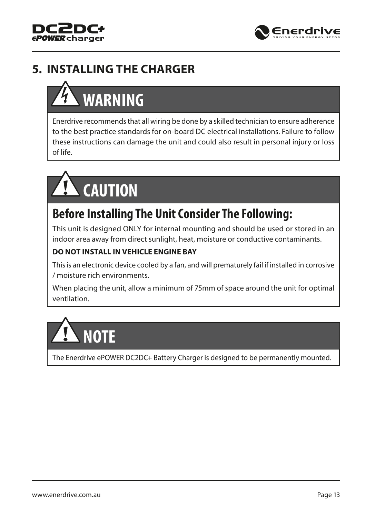<span id="page-12-0"></span>



## **5. INSTALLING THE CHARGER**

# **WARNING**

Enerdrive recommends that all wiring be done by a skilled technician to ensure adherence to the best practice standards for on-board DC electrical installations. Failure to follow these instructions can damage the unit and could also result in personal injury or loss of life.

# **CAUTION**

# **Before Installing The Unit Consider The Following:**

This unit is designed ONLY for internal mounting and should be used or stored in an indoor area away from direct sunlight, heat, moisture or conductive contaminants.

#### **DO NOT INSTALL IN VEHICLE ENGINE BAY**

This is an electronic device cooled by a fan, and will prematurely fail if installed in corrosive / moisture rich environments.

When placing the unit, allow a minimum of 75mm of space around the unit for optimal ventilation.

# **NOTE**

The Enerdrive ePOWER DC2DC+ Battery Charger is designed to be permanently mounted.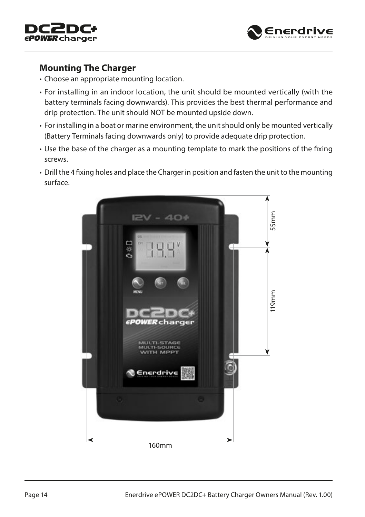<span id="page-13-0"></span>



#### **Mounting The Charger**

- Choose an appropriate mounting location.
- For installing in an indoor location, the unit should be mounted vertically (with the battery terminals facing downwards). This provides the best thermal performance and drip protection. The unit should NOT be mounted upside down.
- For installing in a boat or marine environment, the unit should only be mounted vertically (Battery Terminals facing downwards only) to provide adequate drip protection.
- Use the base of the charger as a mounting template to mark the positions of the fixing screws.
- Drill the 4 fixing holes and place the Charger in position and fasten the unit to the mounting surface.

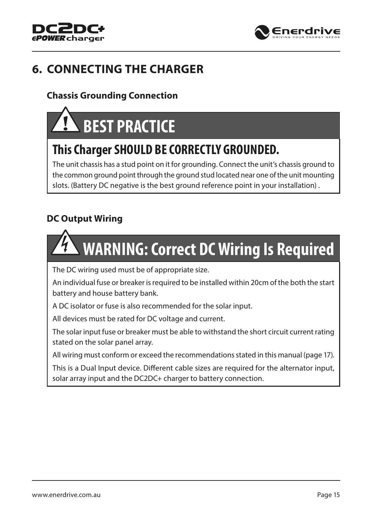<span id="page-14-0"></span>



## **6. CONNECTING THE CHARGER**

### **Chassis Grounding Connection**



# **This Charger SHOULD BE CORRECTLY GROUNDED.**

The unit chassis has a stud point on it for grounding. Connect the unit's chassis ground to the common ground point through the ground stud located near one of the unit mounting slots. (Battery DC negative is the best ground reference point in your installation) .

### **DC Output Wiring**



The DC wiring used must be of appropriate size.

An individual fuse or breaker is required to be installed within 20cm of the both the start battery and house battery bank.

A DC isolator or fuse is also recommended for the solar input.

All devices must be rated for DC voltage and current.

The solar input fuse or breaker must be able to withstand the short circuit current rating stated on the solar panel array.

All wiring must conform or exceed the recommendations stated in this manual (page 17).

This is a Dual Input device. Different cable sizes are required for the alternator input, solar array input and the DC2DC+ charger to battery connection.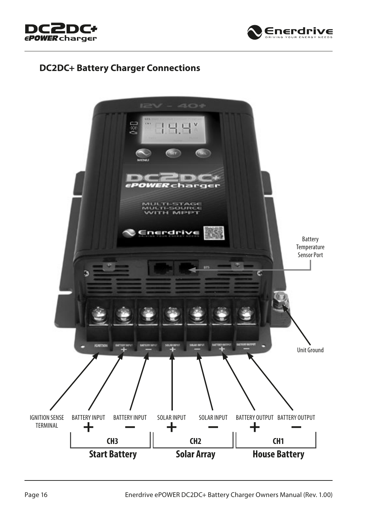<span id="page-15-0"></span>



### **DC2DC+ Battery Charger Connections**

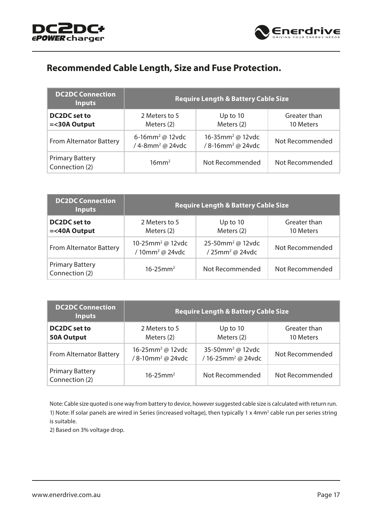<span id="page-16-0"></span>



### **Recommended Cable Length, Size and Fuse Protection.**

| <b>DC2DC Connection</b><br><b>Inputs</b> | <b>Require Length &amp; Battery Cable Size</b>              |                                                               |                           |  |
|------------------------------------------|-------------------------------------------------------------|---------------------------------------------------------------|---------------------------|--|
| <b>DC2DC</b> set to<br>$=<$ 30A Output   | 2 Meters to 5<br>Meters (2)                                 | Up to $10$<br>Meters (2)                                      | Greater than<br>10 Meters |  |
| From Alternator Battery                  | 6-16mm <sup>2</sup> @ 12vdc<br>/ 4-8mm <sup>2</sup> @ 24vdc | 16-35mm <sup>2</sup> @ 12vdc<br>/ 8-16mm <sup>2</sup> @ 24vdc | Not Recommended           |  |
| <b>Primary Battery</b><br>Connection (2) | 16mm <sup>2</sup>                                           | Not Recommended                                               | Not Recommended           |  |

| <b>DC2DC Connection</b><br><b>Inputs</b> | <b>Require Length &amp; Battery Cable Size</b>              |                                                             |                           |
|------------------------------------------|-------------------------------------------------------------|-------------------------------------------------------------|---------------------------|
| DC2DC set to<br>$=<$ 40A Output          | 2 Meters to 5<br>Meters (2)                                 | Up to $10$<br>Meters (2)                                    | Greater than<br>10 Meters |
| From Alternator Battery                  | 10-25mm <sup>2</sup> @ 12vdc<br>/ 10mm <sup>2</sup> @ 24vdc | 25-50mm <sup>2</sup> @ 12vdc<br>/ 25mm <sup>2</sup> @ 24vdc | Not Recommended           |
| <b>Primary Battery</b><br>Connection (2) | $16 - 25$ mm <sup>2</sup>                                   | Not Recommended                                             | Not Recommended           |

| <b>DC2DC Connection</b><br><b>Inputs</b> | <b>Require Length &amp; Battery Cable Size</b>                |                                                                |                           |  |
|------------------------------------------|---------------------------------------------------------------|----------------------------------------------------------------|---------------------------|--|
| DC2DC set to<br>50A Output               | 2 Meters to 5<br>Meters (2)                                   | Up to $10$<br>Meters (2)                                       | Greater than<br>10 Meters |  |
| From Alternator Battery                  | 16-25mm <sup>2</sup> @ 12vdc<br>/ 8-10mm <sup>2</sup> @ 24vdc | 35-50mm <sup>2</sup> @ 12vdc<br>/ 16-25mm <sup>2</sup> @ 24vdc | Not Recommended           |  |
| <b>Primary Battery</b><br>Connection (2) | $16 - 25$ mm <sup>2</sup>                                     | Not Recommended                                                | Not Recommended           |  |

Note: Cable size quoted is one way from battery to device, however suggested cable size is calculated with return run. 1) Note: If solar panels are wired in Series (increased voltage), then typically 1 x 4mm<sup>2</sup> cable run per series string is suitable.

2) Based on 3% voltage drop.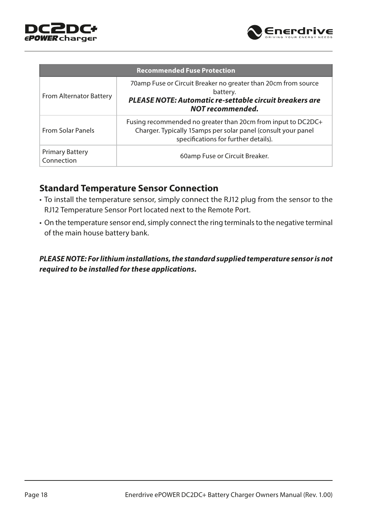<span id="page-17-0"></span>



| <b>Recommended Fuse Protection</b>   |                                                                                                                                                                       |  |  |
|--------------------------------------|-----------------------------------------------------------------------------------------------------------------------------------------------------------------------|--|--|
| From Alternator Battery              | 70amp Fuse or Circuit Breaker no greater than 20cm from source<br>battery.<br>PLEASE NOTE: Automatic re-settable circuit breakers are<br><b>NOT recommended.</b>      |  |  |
| <b>From Solar Panels</b>             | Fusing recommended no greater than 20cm from input to DC2DC+<br>Charger. Typically 15amps per solar panel (consult your panel<br>specifications for further details). |  |  |
| <b>Primary Battery</b><br>Connection | 60amp Fuse or Circuit Breaker.                                                                                                                                        |  |  |

#### **Standard Temperature Sensor Connection**

- To install the temperature sensor, simply connect the RJ12 plug from the sensor to the RJ12 Temperature Sensor Port located next to the Remote Port.
- On the temperature sensor end, simply connect the ring terminals to the negative terminal of the main house battery bank.

*PLEASE NOTE: For lithium installations, the standard supplied temperature sensor is not required to be installed for these applications.*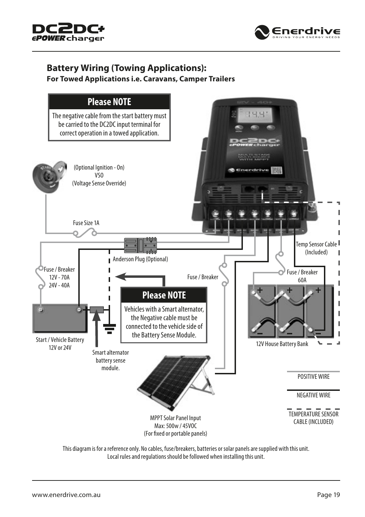<span id="page-18-0"></span>



### **Battery Wiring (Towing Applications):**

**For Towed Applications i.e. Caravans, Camper Trailers**



This diagram is for a reference only. No cables, fuse/breakers, batteries or solar panels are supplied with this unit. Local rules and regulations should be followed when installing this unit.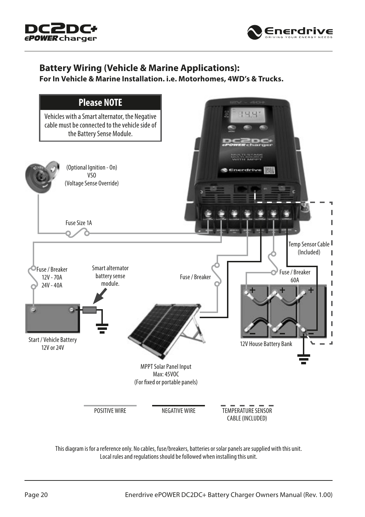<span id="page-19-0"></span>



#### **Battery Wiring (Vehicle & Marine Applications):**

**For In Vehicle & Marine Installation. i.e. Motorhomes, 4WD's & Trucks.**



This diagram is for a reference only. No cables, fuse/breakers, batteries or solar panels are supplied with this unit. Local rules and regulations should be followed when installing this unit.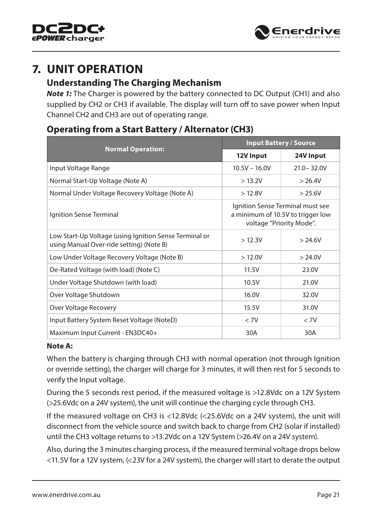<span id="page-20-0"></span>



## **7. UNIT OPERATION**

#### **Understanding The Charging Mechanism**

*Note 1:* The Charger is powered by the battery connected to DC Output (CH1) and also supplied by CH2 or CH3 if available. The display will turn off to save power when Input Channel CH2 and CH3 are out of operating range.

#### **Operating from a Start Battery / Alternator (CH3)**

|                                                                                                    |                                                                                                   | <b>Input Battery / Source</b> |  |  |
|----------------------------------------------------------------------------------------------------|---------------------------------------------------------------------------------------------------|-------------------------------|--|--|
| <b>Normal Operation:</b>                                                                           | 12V Input                                                                                         | 24V Input                     |  |  |
| Input Voltage Range                                                                                | $10.5V - 16.0V$                                                                                   | $21.0 - 32.0V$                |  |  |
| Normal Start-Up Voltage (Note A)                                                                   | > 13.2V                                                                                           | > 26.4V                       |  |  |
| Normal Under Voltage Recovery Voltage (Note A)                                                     | >12.8V                                                                                            | > 25.6V                       |  |  |
| Ignition Sense Terminal                                                                            | Ignition Sense Terminal must see<br>a minimum of 10.5V to trigger low<br>voltage "Priority Mode". |                               |  |  |
| Low Start-Up Voltage (using Ignition Sense Terminal or<br>using Manual Over-ride setting) (Note B) | > 12.3V                                                                                           | > 24.6V                       |  |  |
| Low Under Voltage Recovery Voltage (Note B)                                                        | > 12.0V                                                                                           | > 24.0V                       |  |  |
| De-Rated Voltage (with load) (Note C)                                                              | 11.5V                                                                                             | 23.0V                         |  |  |
| Under Voltage Shutdown (with load)                                                                 | 10.5V                                                                                             | 21.0V                         |  |  |
| Over Voltage Shutdown                                                                              | 16.0V                                                                                             | 32.0V                         |  |  |
| Over Voltage Recovery                                                                              | 15.5V                                                                                             | 31.0V                         |  |  |
| Input Battery System Reset Voltage (NoteD)                                                         | < 7V                                                                                              | < 7V                          |  |  |
| Maximum Input Current - EN3DC40+                                                                   | 30A                                                                                               | 30A                           |  |  |

#### **Note A:**

When the battery is charging through CH3 with normal operation (not through Ignition or override setting), the charger will charge for 3 minutes, it will then rest for 5 seconds to verify the Input voltage.

During the 5 seconds rest period, if the measured voltage is >12.8Vdc on a 12V System (>25.6Vdc on a 24V system), the unit will continue the charging cycle through CH3.

If the measured voltage on CH3 is <12.8Vdc (<25.6Vdc on a 24V system), the unit will disconnect from the vehicle source and switch back to charge from CH2 (solar if installed) until the CH3 voltage returns to >13.2Vdc on a 12V System (>26.4V on a 24V system).

Also, during the 3 minutes charging process, if the measured terminal voltage drops below <11.5V for a 12V system, (<23V for a 24V system), the charger will start to derate the output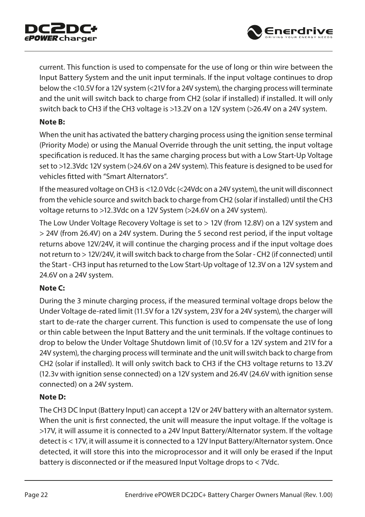



current. This function is used to compensate for the use of long or thin wire between the Input Battery System and the unit input terminals. If the input voltage continues to drop below the <10.5V for a 12V system (<21V for a 24V system), the charging process will terminate and the unit will switch back to charge from CH2 (solar if installed) if installed. It will only switch back to CH3 if the CH3 voltage is >13.2V on a 12V system (>26.4V on a 24V system.

#### **Note B:**

When the unit has activated the battery charging process using the ignition sense terminal (Priority Mode) or using the Manual Override through the unit setting, the input voltage specification is reduced. It has the same charging process but with a Low Start-Up Voltage set to >12.3Vdc 12V system (>24.6V on a 24V system). This feature is designed to be used for vehicles fitted with "Smart Alternators".

If the measured voltage on CH3 is <12.0 Vdc (<24Vdc on a 24V system), the unit will disconnect from the vehicle source and switch back to charge from CH2 (solar if installed) until the CH3 voltage returns to >12.3Vdc on a 12V System (>24.6V on a 24V system).

The Low Under Voltage Recovery Voltage is set to > 12V (from 12.8V) on a 12V system and > 24V (from 26.4V) on a 24V system. During the 5 second rest period, if the input voltage returns above 12V/24V, it will continue the charging process and if the input voltage does not return to > 12V/24V, it will switch back to charge from the Solar - CH2 (if connected) until the Start - CH3 input has returned to the Low Start-Up voltage of 12.3V on a 12V system and 24.6V on a 24V system.

#### **Note C:**

During the 3 minute charging process, if the measured terminal voltage drops below the Under Voltage de-rated limit (11.5V for a 12V system, 23V for a 24V system), the charger will start to de-rate the charger current. This function is used to compensate the use of long or thin cable between the Input Battery and the unit terminals. If the voltage continues to drop to below the Under Voltage Shutdown limit of (10.5V for a 12V system and 21V for a 24V system), the charging process will terminate and the unit will switch back to charge from CH2 (solar if installed). It will only switch back to CH3 if the CH3 voltage returns to 13.2V (12.3v with ignition sense connected) on a 12V system and 26.4V (24.6V with ignition sense connected) on a 24V system.

#### **Note D:**

The CH3 DC Input (Battery Input) can accept a 12V or 24V battery with an alternator system. When the unit is first connected, the unit will measure the input voltage. If the voltage is >17V, it will assume it is connected to a 24V Input Battery/Alternator system. If the voltage detect is < 17V, it will assume it is connected to a 12V Input Battery/Alternator system. Once detected, it will store this into the microprocessor and it will only be erased if the Input battery is disconnected or if the measured Input Voltage drops to < 7Vdc.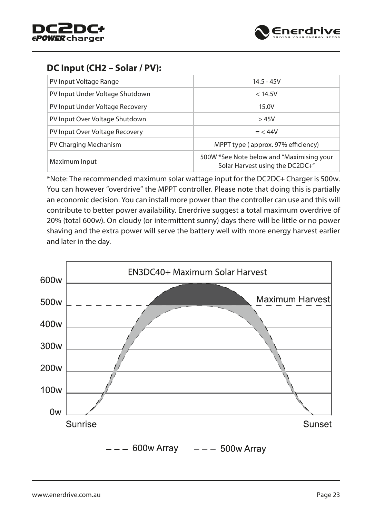<span id="page-22-0"></span>

## **DC Input (CH2 – Solar / PV):**

| PV Input Voltage Range          | $14.5 - 45V$                                                                 |  |
|---------------------------------|------------------------------------------------------------------------------|--|
| PV Input Under Voltage Shutdown | < 14.5V                                                                      |  |
| PV Input Under Voltage Recovery | 15.0V                                                                        |  |
| PV Input Over Voltage Shutdown  | >45V                                                                         |  |
| PV Input Over Voltage Recovery  | $=$ < 44 $V$                                                                 |  |
| PV Charging Mechanism           | MPPT type (approx. 97% efficiency)                                           |  |
| Maximum Input                   | 500W *See Note below and "Maximising your<br>Solar Harvest using the DC2DC+" |  |

\*Note: The recommended maximum solar wattage input for the DC2DC+ Charger is 500w. You can however "overdrive" the MPPT controller. Please note that doing this is partially an economic decision. You can install more power than the controller can use and this will contribute to better power availability. Enerdrive suggest a total maximum overdrive of 20% (total 600w). On cloudy (or intermittent sunny) days there will be little or no power shaving and the extra power will serve the battery well with more energy harvest earlier and later in the day.

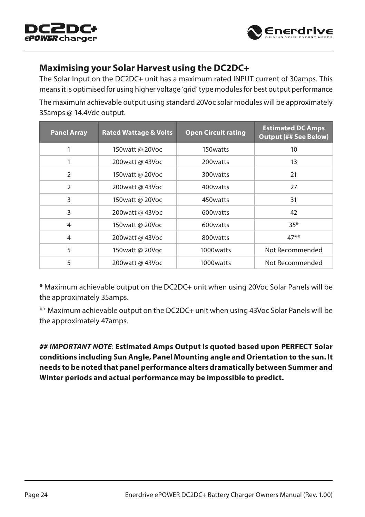<span id="page-23-0"></span>



#### **Maximising your Solar Harvest using the DC2DC+**

The Solar Input on the DC2DC+ unit has a maximum rated INPUT current of 30amps. This means it is optimised for using higher voltage 'grid' type modules for best output performance

The maximum achievable output using standard 20Voc solar modules will be approximately 35amps @ 14.4Vdc output.

| <b>Panel Array</b> | <b>Rated Wattage &amp; Volts</b> | <b>Open Circuit rating</b> | <b>Estimated DC Amps</b><br><b>Output (## See Below)</b> |
|--------------------|----------------------------------|----------------------------|----------------------------------------------------------|
|                    | 150watt @ 20Voc                  | 150 watts                  | 10                                                       |
|                    | 200watt @ 43Voc                  | 200 watts                  | 13                                                       |
| $\overline{2}$     | 150watt @ 20Voc                  | 300 watts                  | 21                                                       |
| $\overline{2}$     | 200watt @ 43Voc                  | 400 watts                  | 27                                                       |
| 3                  | 150watt @ 20Voc                  | 450 watts                  | 31                                                       |
| 3                  | 200watt @ 43Voc                  | 600 watts                  | 42                                                       |
| 4                  | 150watt @ 20Voc                  | 600watts                   | $35*$                                                    |
| 4                  | 200watt @ 43Voc                  | 800watts                   | $47**$                                                   |
| 5                  | 150watt @ 20Voc                  | 1000watts                  | Not Recommended                                          |
| 5                  | 200 watt @ 43 Voc                | 1000watts                  | Not Recommended                                          |

\* Maximum achievable output on the DC2DC+ unit when using 20Voc Solar Panels will be the approximately 35amps.

\*\* Maximum achievable output on the DC2DC+ unit when using 43Voc Solar Panels will be the approximately 47amps.

*## IMPORTANT NOTE*: **Estimated Amps Output is quoted based upon PERFECT Solar conditions including Sun Angle, Panel Mounting angle and Orientation to the sun. It needs to be noted that panel performance alters dramatically between Summer and Winter periods and actual performance may be impossible to predict.**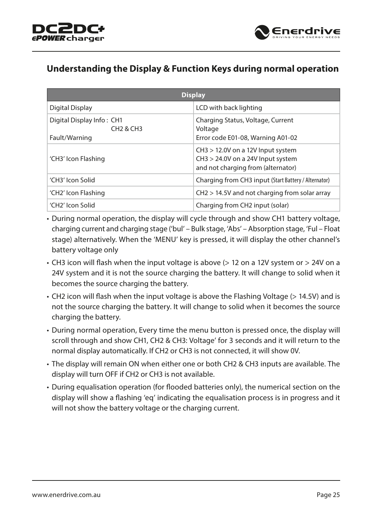<span id="page-24-0"></span>



### **Understanding the Display & Function Keys during normal operation**

| <b>Display</b>                                                                           |                                                                                                                |  |
|------------------------------------------------------------------------------------------|----------------------------------------------------------------------------------------------------------------|--|
| Digital Display                                                                          | LCD with back lighting                                                                                         |  |
| Digital Display Info: CH1<br><b>CH<sub>2</sub> &amp; CH<sub>3</sub></b><br>Fault/Warning | Charging Status, Voltage, Current<br>Voltage<br>Error code E01-08, Warning A01-02                              |  |
| 'CH3' Icon Flashing                                                                      | $CH3 > 12.0V$ on a 12V Input system<br>CH3 > 24.0V on a 24V Input system<br>and not charging from (alternator) |  |
| 'CH3' Icon Solid                                                                         | Charging from CH3 input (Start Battery / Alternator)                                                           |  |
| 'CH2' Icon Flashing                                                                      | $CH2 > 14.5V$ and not charging from solar array                                                                |  |
| 'CH <sub>2</sub> ' Icon Solid                                                            | Charging from CH2 input (solar)                                                                                |  |

- During normal operation, the display will cycle through and show CH1 battery voltage, charging current and charging stage ('bul' – Bulk stage, 'Abs' – Absorption stage, 'Ful – Float stage) alternatively. When the 'MENU' key is pressed, it will display the other channel's battery voltage only
- CH3 icon will flash when the input voltage is above (> 12 on a 12V system or > 24V on a 24V system and it is not the source charging the battery. It will change to solid when it becomes the source charging the battery.
- CH2 icon will flash when the input voltage is above the Flashing Voltage (> 14.5V) and is not the source charging the battery. It will change to solid when it becomes the source charging the battery.
- During normal operation, Every time the menu button is pressed once, the display will scroll through and show CH1, CH2 & CH3: Voltage' for 3 seconds and it will return to the normal display automatically. If CH2 or CH3 is not connected, it will show 0V.
- The display will remain ON when either one or both CH2 & CH3 inputs are available. The display will turn OFF if CH2 or CH3 is not available.
- During equalisation operation (for flooded batteries only), the numerical section on the display will show a flashing 'eq' indicating the equalisation process is in progress and it will not show the battery voltage or the charging current.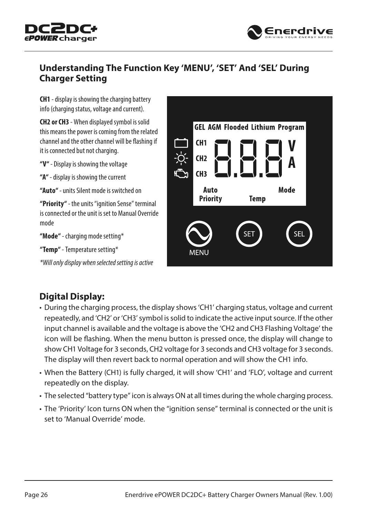<span id="page-25-0"></span>



### **Understanding The Function Key 'MENU', 'SET' And 'SEL' During Charger Setting**

**CH1** - display is showing the charging battery info (charging status, voltage and current).

**CH2 or CH3** - When displayed symbol is solid this means the power is coming from the related channel and the other channel will be flashing if it is connected but not charging.

**"V"** - Display is showing the voltage

**"A"** - display is showing the current

**"Auto"** - units Silent mode is switched on

**"Priority"** - the units "ignition Sense" terminal is connected or the unit is set to Manual Override mode

**"Mode"** - charging mode setting\*

**"Temp"** - Temperature setting\*

*\*Will only display when selected setting is active*



## **Digital Display:**

- During the charging process, the display shows 'CH1' charging status, voltage and current repeatedly, and 'CH2' or 'CH3' symbol is solid to indicate the active input source. If the other input channel is available and the voltage is above the 'CH2 and CH3 Flashing Voltage' the icon will be flashing. When the menu button is pressed once, the display will change to show CH1 Voltage for 3 seconds, CH2 voltage for 3 seconds and CH3 voltage for 3 seconds. The display will then revert back to normal operation and will show the CH1 info.
- When the Battery (CH1) is fully charged, it will show 'CH1' and 'FLO', voltage and current repeatedly on the display.
- The selected "battery type" icon is always ON at all times during the whole charging process.
- The 'Priority' Icon turns ON when the "ignition sense" terminal is connected or the unit is set to 'Manual Override' mode.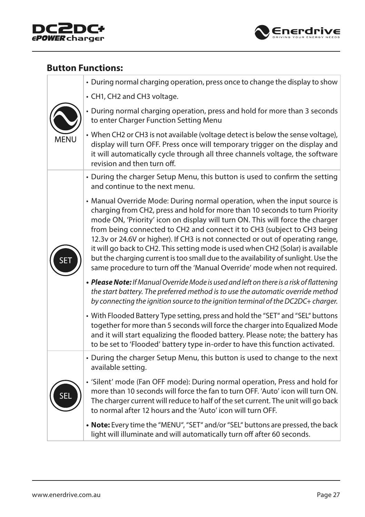<span id="page-26-0"></span>



### **Button Functions:**

|      | • During normal charging operation, press once to change the display to show                                                                                                                                                                                                                                                                                                                                                                                                                                                                                                                                                                               |
|------|------------------------------------------------------------------------------------------------------------------------------------------------------------------------------------------------------------------------------------------------------------------------------------------------------------------------------------------------------------------------------------------------------------------------------------------------------------------------------------------------------------------------------------------------------------------------------------------------------------------------------------------------------------|
|      | • CH1, CH2 and CH3 voltage.                                                                                                                                                                                                                                                                                                                                                                                                                                                                                                                                                                                                                                |
|      | • During normal charging operation, press and hold for more than 3 seconds<br>to enter Charger Function Setting Menu                                                                                                                                                                                                                                                                                                                                                                                                                                                                                                                                       |
| IFNU | • When CH2 or CH3 is not available (voltage detect is below the sense voltage),<br>display will turn OFF. Press once will temporary trigger on the display and<br>it will automatically cycle through all three channels voltage, the software<br>revision and then turn off.                                                                                                                                                                                                                                                                                                                                                                              |
|      | • During the charger Setup Menu, this button is used to confirm the setting<br>and continue to the next menu.                                                                                                                                                                                                                                                                                                                                                                                                                                                                                                                                              |
|      | • Manual Override Mode: During normal operation, when the input source is<br>charging from CH2, press and hold for more than 10 seconds to turn Priority<br>mode ON, 'Priority' icon on display will turn ON. This will force the charger<br>from being connected to CH2 and connect it to CH3 (subject to CH3 being<br>12.3v or 24.6V or higher). If CH3 is not connected or out of operating range,<br>it will go back to CH2. This setting mode is used when CH2 (Solar) is available<br>but the charging current is too small due to the availability of sunlight. Use the<br>same procedure to turn off the 'Manual Override' mode when not required. |
|      | • Please Note: If Manual Override Mode is used and left on there is a risk of flattening<br>the start battery. The preferred method is to use the automatic override method<br>by connecting the ignition source to the ignition terminal of the DC2DC+ charger.                                                                                                                                                                                                                                                                                                                                                                                           |
|      | • With Flooded Battery Type setting, press and hold the "SET" and "SEL" buttons<br>together for more than 5 seconds will force the charger into Equalized Mode<br>and it will start equalizing the flooded battery. Please note; the battery has<br>to be set to 'Flooded' battery type in-order to have this function activated.                                                                                                                                                                                                                                                                                                                          |
|      | • During the charger Setup Menu, this button is used to change to the next<br>available setting.                                                                                                                                                                                                                                                                                                                                                                                                                                                                                                                                                           |
|      | • 'Silent' mode (Fan OFF mode): During normal operation, Press and hold for<br>more than 10 seconds will force the fan to turn OFF. 'Auto' icon will turn ON.<br>The charger current will reduce to half of the set current. The unit will go back<br>to normal after 12 hours and the 'Auto' icon will turn OFF.                                                                                                                                                                                                                                                                                                                                          |
|      | • Note: Every time the "MENU", "SET" and/or "SEL" buttons are pressed, the back<br>light will illuminate and will automatically turn off after 60 seconds.                                                                                                                                                                                                                                                                                                                                                                                                                                                                                                 |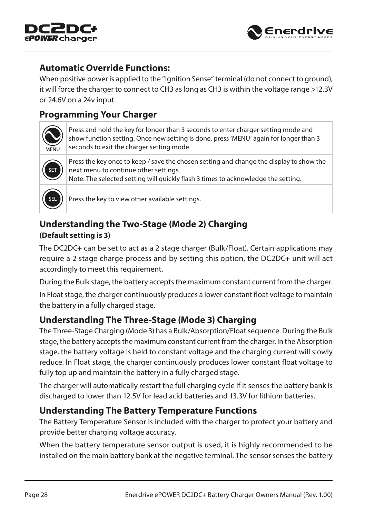<span id="page-27-0"></span>



#### **Automatic Override Functions:**

When positive power is applied to the "Ignition Sense" terminal (do not connect to ground), it will force the charger to connect to CH3 as long as CH3 is within the voltage range >12.3V or 24.6V on a 24v input.

#### **Programming Your Charger**



Press and hold the key for longer than 3 seconds to enter charger setting mode and show function setting. Once new setting is done, press 'MENU' again for longer than 3 seconds to exit the charger setting mode.



Press the key once to keep / save the chosen setting and change the display to show the next menu to continue other settings. Note: The selected setting will quickly flash 3 times to acknowledge the setting.



Press the key to view other available settings.

### **Understanding the Two-Stage (Mode 2) Charging (Default setting is 3)**

The DC2DC+ can be set to act as a 2 stage charger (Bulk/Float). Certain applications may require a 2 stage charge process and by setting this option, the DC2DC+ unit will act accordingly to meet this requirement.

During the Bulk stage, the battery accepts the maximum constant current from the charger.

In Float stage, the charger continuously produces a lower constant float voltage to maintain the battery in a fully charged stage.

### **Understanding The Three-Stage (Mode 3) Charging**

The Three-Stage Charging (Mode 3) has a Bulk/Absorption/Float sequence. During the Bulk stage, the battery accepts the maximum constant current from the charger. In the Absorption stage, the battery voltage is held to constant voltage and the charging current will slowly reduce. In Float stage, the charger continuously produces lower constant float voltage to fully top up and maintain the battery in a fully charged stage.

The charger will automatically restart the full charging cycle if it senses the battery bank is discharged to lower than 12.5V for lead acid batteries and 13.3V for lithium batteries.

#### **Understanding The Battery Temperature Functions**

The Battery Temperature Sensor is included with the charger to protect your battery and provide better charging voltage accuracy.

When the battery temperature sensor output is used, it is highly recommended to be installed on the main battery bank at the negative terminal. The sensor senses the battery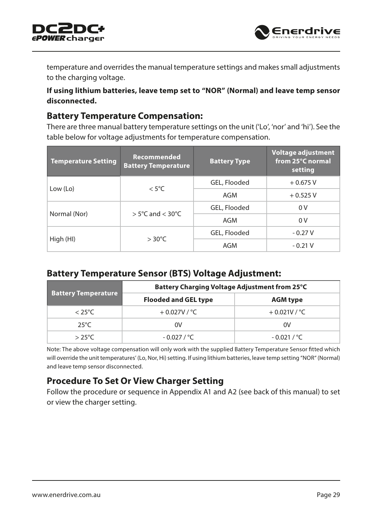<span id="page-28-0"></span>



temperature and overrides the manual temperature settings and makes small adjustments to the charging voltage.

**If using lithium batteries, leave temp set to "NOR" (Normal) and leave temp sensor disconnected.**

#### **Battery Temperature Compensation:**

There are three manual battery temperature settings on the unit ('Lo', 'nor' and 'hi'). See the table below for voltage adjustments for temperature compensation.

| <b>Temperature Setting</b> | Recommended<br><b>Battery Temperature</b> | <b>Battery Type</b> | <b>Voltage adjustment</b><br>from 25°C normal<br>setting |
|----------------------------|-------------------------------------------|---------------------|----------------------------------------------------------|
| Low (Lo)                   | $< 5^{\circ}$ C                           | GEL, Flooded        | $+0.675V$                                                |
|                            |                                           | AGM                 | $+0.525V$                                                |
|                            | $>$ 5°C and < 30°C                        | GEL, Flooded        | 0V                                                       |
| Normal (Nor)               |                                           | AGM                 | 0V                                                       |
|                            | $>30^{\circ}$ C                           | GEL, Flooded        | $-0.27V$                                                 |
| High (HI)                  |                                           | AGM                 | $-0.21V$                                                 |

#### **Battery Temperature Sensor (BTS) Voltage Adjustment:**

|                            | Battery Charging Voltage Adjustment from 25°C |                 |  |
|----------------------------|-----------------------------------------------|-----------------|--|
| <b>Battery Temperature</b> | <b>Flooded and GEL type</b>                   | <b>AGM</b> type |  |
| $< 25^{\circ}$ C           | + $0.027V$ / $°C$                             | $+0.021V$ / °C  |  |
| $25^{\circ}$ C             | 0V                                            | 0V              |  |
| $>$ 25°C $\overline{C}$    | $-0.027/°C$                                   | $-0.021/°C$     |  |

Note: The above voltage compensation will only work with the supplied Battery Temperature Sensor fitted which will override the unit temperatures' (Lo, Nor, Hi) setting. If using lithium batteries, leave temp setting "NOR" (Normal) and leave temp sensor disconnected.

### **Procedure To Set Or View Charger Setting**

Follow the procedure or sequence in Appendix A1 and A2 (see back of this manual) to set or view the charger setting.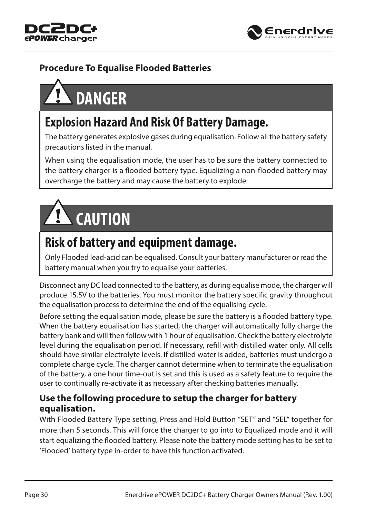<span id="page-29-0"></span>



### **Procedure To Equalise Flooded Batteries**

# **DANGER**

# **Explosion Hazard And Risk Of Battery Damage.**

The battery generates explosive gases during equalisation. Follow all the battery safety precautions listed in the manual.

When using the equalisation mode, the user has to be sure the battery connected to the battery charger is a flooded battery type. Equalizing a non-flooded battery may overcharge the battery and may cause the battery to explode.

# **CAUTION**

## **Risk of battery and equipment damage.**

Only Flooded lead-acid can be equalised. Consult your battery manufacturer or read the battery manual when you try to equalise your batteries.

Disconnect any DC load connected to the battery, as during equalise mode, the charger will produce 15.5V to the batteries. You must monitor the battery specific gravity throughout the equalisation process to determine the end of the equalising cycle.

Before setting the equalisation mode, please be sure the battery is a flooded battery type. When the battery equalisation has started, the charger will automatically fully charge the battery bank and will then follow with 1 hour of equalisation. Check the battery electrolyte level during the equalisation period. If necessary, refill with distilled water only. All cells should have similar electrolyte levels. If distilled water is added, batteries must undergo a complete charge cycle. The charger cannot determine when to terminate the equalisation of the battery, a one hour time-out is set and this is used as a safety feature to require the user to continually re-activate it as necessary after checking batteries manually.

### **Use the following procedure to setup the charger for battery equalisation.**

With Flooded Battery Type setting, Press and Hold Button "SET" and "SEL" together for more than 5 seconds. This will force the charger to go into to Equalized mode and it will start equalizing the flooded battery. Please note the battery mode setting has to be set to 'Flooded' battery type in-order to have this function activated.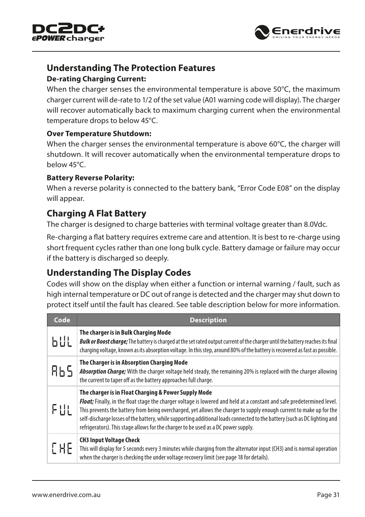<span id="page-30-0"></span>



#### **Understanding The Protection Features**

#### **De-rating Charging Current:**

When the charger senses the environmental temperature is above 50°C, the maximum charger current will de-rate to 1/2 of the set value (A01 warning code will display). The charger will recover automatically back to maximum charging current when the environmental temperature drops to below 45°C.

#### **Over Temperature Shutdown:**

When the charger senses the environmental temperature is above 60°C, the charger will shutdown. It will recover automatically when the environmental temperature drops to below 45°C.

#### **Battery Reverse Polarity:**

When a reverse polarity is connected to the battery bank, "Error Code E08" on the display will appear.

#### **Charging A Flat Battery**

The charger is designed to charge batteries with terminal voltage greater than 8.0Vdc.

Re-charging a flat battery requires extreme care and attention. It is best to re-charge using short frequent cycles rather than one long bulk cycle. Battery damage or failure may occur if the battery is discharged so deeply.

### **Understanding The Display Codes**

Codes will show on the display when either a function or internal warning / fault, such as high internal temperature or DC out of range is detected and the charger may shut down to protect itself until the fault has cleared. See table description below for more information.

| Code       | <b>Description</b>                                                                                                                                                                                                                                                                                                                                                                                                                                                                                                                |
|------------|-----------------------------------------------------------------------------------------------------------------------------------------------------------------------------------------------------------------------------------------------------------------------------------------------------------------------------------------------------------------------------------------------------------------------------------------------------------------------------------------------------------------------------------|
| hill       | The charger is in Bulk Charging Mode<br><b>Bulk or Boost charge;</b> The battery is charged at the set rated output current of the charger until the battery reaches its final<br>charging voltage, known as its absorption voltage. In this step, around 80% of the battery is recovered as fast as possible.                                                                                                                                                                                                                    |
| <b>AbS</b> | The Charger is in Absorption Charging Mode<br>Absorption Charge; With the charger voltage held steady, the remaining 20% is replaced with the charger allowing<br>the current to taper off as the battery approaches full charge.                                                                                                                                                                                                                                                                                                 |
| FUL        | The charger is in Float Charging & Power Supply Mode<br><b>Float</b> ; Finally, in the float stage the charger voltage is lowered and held at a constant and safe predetermined level.<br>This prevents the battery from being overcharged, yet allows the charger to supply enough current to make up for the<br>self-discharge losses of the battery, while supporting additional loads connected to the battery (such as DC lighting and<br>refrigerators). This stage allows for the charger to be used as a DC power supply. |
| EHE.       | <b>CH3 Input Voltage Check</b><br>This will display for 5 seconds every 3 minutes while charging from the alternator input (CH3) and is normal operation<br>when the charger is checking the under voltage recovery limit (see page 18 for details).                                                                                                                                                                                                                                                                              |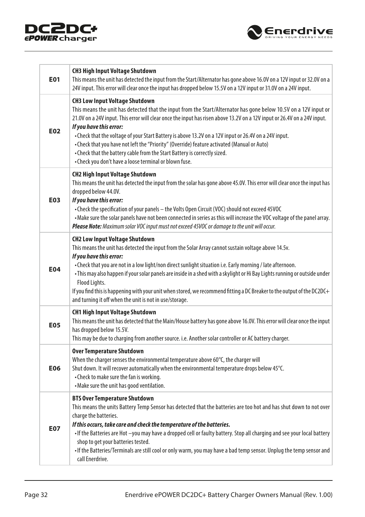



| E01        | <b>CH3 High Input Voltage Shutdown</b><br>This means the unit has detected the input from the Start/Alternator has gone above 16.0V on a 12V input or 32.0V on a<br>24V input. This error will clear once the input has dropped below 15.5V on a 12V input or 31.0V on a 24V input.                                                                                                                                                                                                                                                                                                                                                                             |
|------------|-----------------------------------------------------------------------------------------------------------------------------------------------------------------------------------------------------------------------------------------------------------------------------------------------------------------------------------------------------------------------------------------------------------------------------------------------------------------------------------------------------------------------------------------------------------------------------------------------------------------------------------------------------------------|
| E02        | <b>CH3 Low Input Voltage Shutdown</b><br>This means the unit has detected that the input from the Start/Alternator has gone below 10.5V on a 12V input or<br>21.0V on a 24V input. This error will clear once the input has risen above 13.2V on a 12V input or 26.4V on a 24V input.<br>If you have this error:<br>• Check that the voltage of your Start Battery is above 13.2V on a 12V input or 26.4V on a 24V input.<br>• Check that you have not left the "Priority" (Override) feature activated (Manual or Auto)<br>• Check that the battery cable from the Start Battery is correctly sized.<br>• Check you don't have a loose terminal or blown fuse. |
| E03        | <b>CH2 High Input Voltage Shutdown</b><br>This means the unit has detected the input from the solar has gone above 45.0V. This error will clear once the input has<br>dropped below 44.0V.<br>If you have this error:<br>• Check the specification of your panels - the Volts Open Circuit (VOC) should not exceed 45VOC<br>• Make sure the solar panels have not been connected in series as this will increase the VOC voltage of the panel array.<br><b>Please Note:</b> Maximum solar VOC input must not exceed 45VOC or damage to the unit will occur.                                                                                                     |
| <b>E04</b> | <b>CH2 Low Input Voltage Shutdown</b><br>This means the unit has detected the input from the Solar Array cannot sustain voltage above 14.5v.<br>If you have this error:<br>• Check that you are not in a low light/non direct sunlight situation i.e. Early morning / late afternoon.<br>• This may also happen if your solar panels are inside in a shed with a skylight or Hi Bay Lights running or outside under<br>Flood Lights.<br>If you find this is happening with your unit when stored, we recommend fitting a DC Breaker to the output of the DC2DC+<br>and turning it off when the unit is not in use/storage.                                      |
| <b>E05</b> | <b>CH1 High Input Voltage Shutdown</b><br>This means the unit has detected that the Main/House battery has gone above 16.0V. This error will clear once the input<br>has dropped below 15.5V.<br>This may be due to charging from another source. i.e. Another solar controller or AC battery charger.                                                                                                                                                                                                                                                                                                                                                          |
| <b>E06</b> | <b>Over Temperature Shutdown</b><br>When the charger senses the environmental temperature above 60°C, the charger will<br>Shut down. It will recover automatically when the environmental temperature drops below 45°C.<br>• Check to make sure the fan is working.<br>. Make sure the unit has good ventilation.                                                                                                                                                                                                                                                                                                                                               |
| <b>E07</b> | <b>BTS Over Temperature Shutdown</b><br>This means the units Battery Temp Sensor has detected that the batteries are too hot and has shut down to not over<br>charge the batteries.<br>If this occurs, take care and check the temperature of the batteries.<br>• If the Batteries are Hot -you may have a dropped cell or faulty battery. Stop all charging and see your local battery<br>shop to get your batteries tested.<br>• If the Batteries/Terminals are still cool or only warm, you may have a bad temp sensor. Unplug the temp sensor and<br>call Enerdrive.                                                                                        |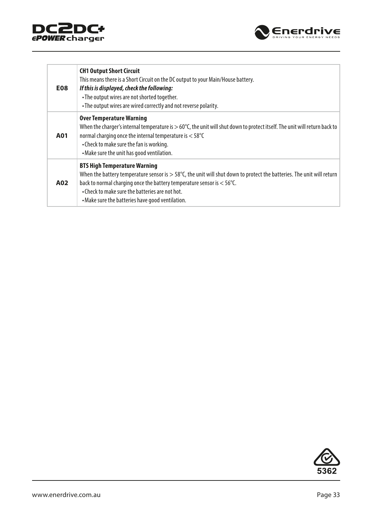



| <b>E08</b> | <b>CH1 Output Short Circuit</b><br>This means there is a Short Circuit on the DC output to your Main/House battery.<br>If this is displayed, check the following:<br>. The output wires are not shorted together.<br>• The output wires are wired correctly and not reverse polarity.                                                                                |
|------------|----------------------------------------------------------------------------------------------------------------------------------------------------------------------------------------------------------------------------------------------------------------------------------------------------------------------------------------------------------------------|
| A01        | <b>Over Temperature Warning</b><br>When the charger's internal temperature is $>60^{\circ}$ C, the unit will shut down to protect itself. The unit will return back to<br>normal charging once the internal temperature is $<$ 58 $^{\circ}$ C<br>• Check to make sure the fan is working.<br>• Make sure the unit has good ventilation.                             |
| A02        | <b>BTS High Temperature Warning</b><br>When the battery temperature sensor is $> 58^{\circ}$ C, the unit will shut down to protect the batteries. The unit will return<br>back to normal charging once the battery temperature sensor is $<$ 56 $^{\circ}$ C.<br>• Check to make sure the batteries are not hot.<br>• Make sure the batteries have good ventilation. |

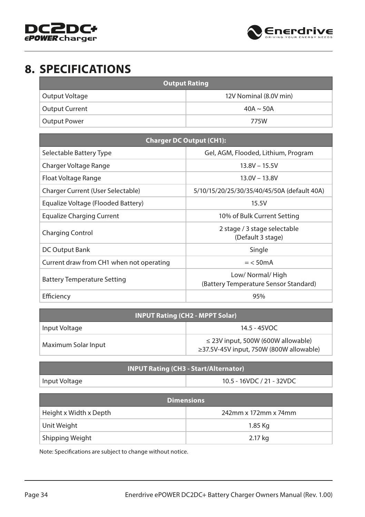<span id="page-33-0"></span>



## **8. SPECIFICATIONS**

| <b>Output Rating</b> |                        |  |
|----------------------|------------------------|--|
| Output Voltage       | 12V Nominal (8.0V min) |  |
| Output Current       | $40A \sim 50A$         |  |
| Output Power         | 775W                   |  |

| <b>Charger DC Output (CH1):</b>          |                                                            |  |  |
|------------------------------------------|------------------------------------------------------------|--|--|
| Selectable Battery Type                  | Gel, AGM, Flooded, Lithium, Program                        |  |  |
| Charger Voltage Range                    | $13.8V - 15.5V$                                            |  |  |
| Float Voltage Range                      | $13.0V - 13.8V$                                            |  |  |
| Charger Current (User Selectable)        | 5/10/15/20/25/30/35/40/45/50A (default 40A)                |  |  |
| Equalize Voltage (Flooded Battery)       | 15.5V                                                      |  |  |
| Equalize Charging Current                | 10% of Bulk Current Setting                                |  |  |
| Charging Control                         | 2 stage / 3 stage selectable<br>(Default 3 stage)          |  |  |
| DC Output Bank                           | Single                                                     |  |  |
| Current draw from CH1 when not operating | $=$ < 50 $mA$                                              |  |  |
| <b>Battery Temperature Setting</b>       | Low/ Normal/ High<br>(Battery Temperature Sensor Standard) |  |  |
| Efficiency                               | 95%                                                        |  |  |

| <b>INPUT Rating (CH2 - MPPT Solar)</b> |                                                                                          |  |
|----------------------------------------|------------------------------------------------------------------------------------------|--|
| Input Voltage                          | $14.5 - 45$ VOC                                                                          |  |
| Maximum Solar Input                    | $\leq$ 23V input, 500W (600W allowable)<br>$\geq$ 37.5V-45V input, 750W (800W allowable) |  |

| <b>INPUT Rating (CH3 - Start/Alternator)</b> |                           |  |
|----------------------------------------------|---------------------------|--|
| Input Voltage                                | 10.5 - 16VDC / 21 - 32VDC |  |
|                                              |                           |  |

|                        | <b>Dimensions</b>    |
|------------------------|----------------------|
| Height x Width x Depth | 242mm x 172mm x 74mm |
| Unit Weight            | 1.85 Kg              |
| Shipping Weight        | 2.17 kg              |

Note: Specifications are subject to change without notice.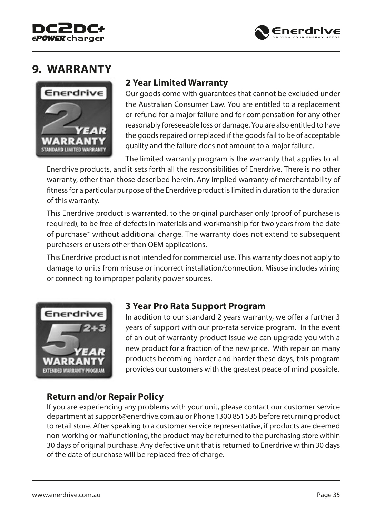<span id="page-34-0"></span>



## **9. WARRANTY**



### **2 Year Limited Warranty**

Our goods come with guarantees that cannot be excluded under the Australian Consumer Law. You are entitled to a replacement or refund for a major failure and for compensation for any other reasonably foreseeable loss or damage. You are also entitled to have the goods repaired or replaced if the goods fail to be of acceptable quality and the failure does not amount to a major failure.

The limited warranty program is the warranty that applies to all

Enerdrive products, and it sets forth all the responsibilities of Enerdrive. There is no other warranty, other than those described herein. Any implied warranty of merchantability of fitness for a particular purpose of the Enerdrive product is limited in duration to the duration of this warranty.

This Enerdrive product is warranted, to the original purchaser only (proof of purchase is required), to be free of defects in materials and workmanship for two years from the date of purchase\* without additional charge. The warranty does not extend to subsequent purchasers or users other than OEM applications.

This Enerdrive product is not intended for commercial use. This warranty does not apply to damage to units from misuse or incorrect installation/connection. Misuse includes wiring or connecting to improper polarity power sources.



### **3 Year Pro Rata Support Program**

In addition to our standard 2 years warranty, we offer a further 3 years of support with our pro-rata service program. In the event of an out of warranty product issue we can upgrade you with a new product for a fraction of the new price. With repair on many products becoming harder and harder these days, this program provides our customers with the greatest peace of mind possible.

### **Return and/or Repair Policy**

If you are experiencing any problems with your unit, please contact our customer service department at support@enerdrive.com.au or Phone 1300 851 535 before returning product to retail store. After speaking to a customer service representative, if products are deemed non-working or malfunctioning, the product may be returned to the purchasing store within 30 days of original purchase. Any defective unit that is returned to Enerdrive within 30 days of the date of purchase will be replaced free of charge.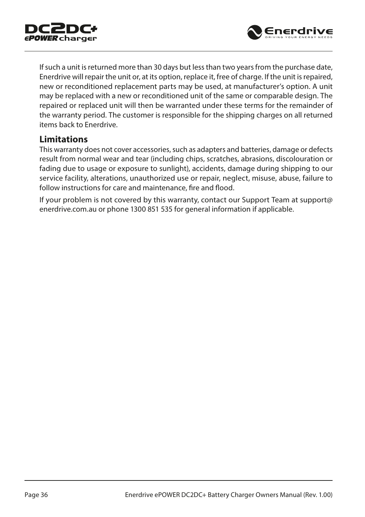<span id="page-35-0"></span>



If such a unit is returned more than 30 days but less than two years from the purchase date, Enerdrive will repair the unit or, at its option, replace it, free of charge. If the unit is repaired, new or reconditioned replacement parts may be used, at manufacturer's option. A unit may be replaced with a new or reconditioned unit of the same or comparable design. The repaired or replaced unit will then be warranted under these terms for the remainder of the warranty period. The customer is responsible for the shipping charges on all returned items back to Enerdrive.

#### **Limitations**

This warranty does not cover accessories, such as adapters and batteries, damage or defects result from normal wear and tear (including chips, scratches, abrasions, discolouration or fading due to usage or exposure to sunlight), accidents, damage during shipping to our service facility, alterations, unauthorized use or repair, neglect, misuse, abuse, failure to follow instructions for care and maintenance, fire and flood.

If your problem is not covered by this warranty, contact our Support Team at support@ enerdrive.com.au or phone 1300 851 535 for general information if applicable.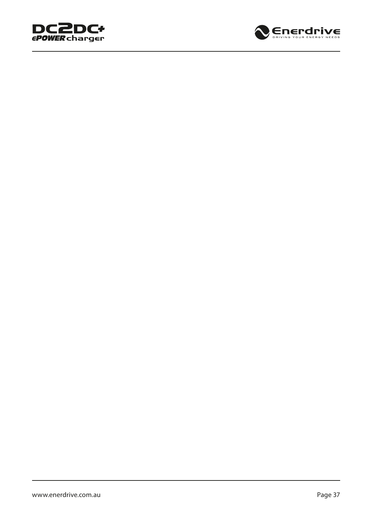

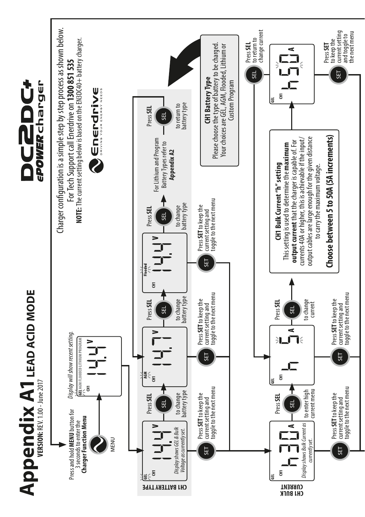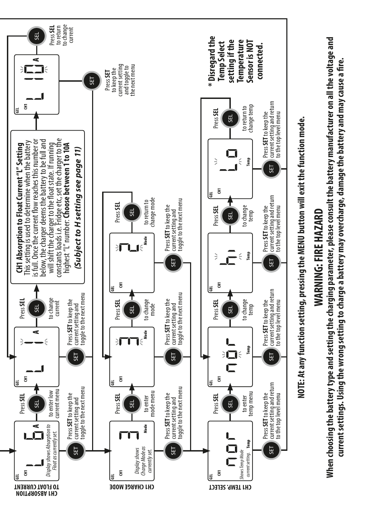

When choosing the battery type and setting the charging parameter, please consult the battery manufacturer on all the voltage and **When choosing the battery type and setting the charging parameter, please consult the battery manufacturer on all the voltage and**  current settings. Using the wrong setting to charge a battery may overcharge, damage the battery and may cause a fire. **current settings. Using the wrong setting to charge a battery may overcharge, damage the battery and may cause a fire.** WARNING: FIRE HAZARD **WARNING: FIRE HAZARD**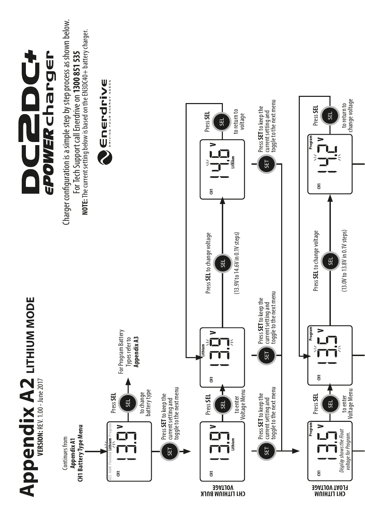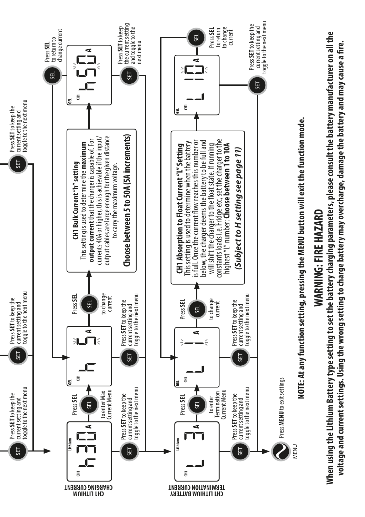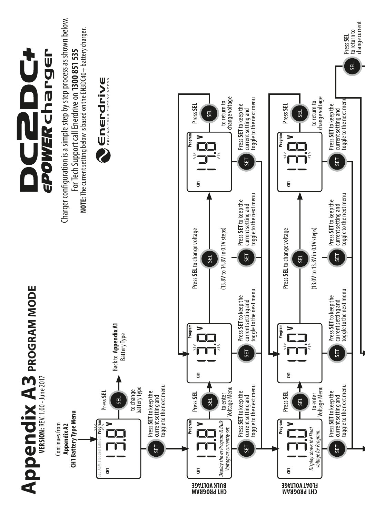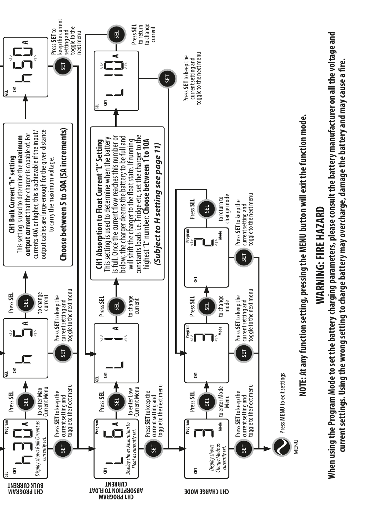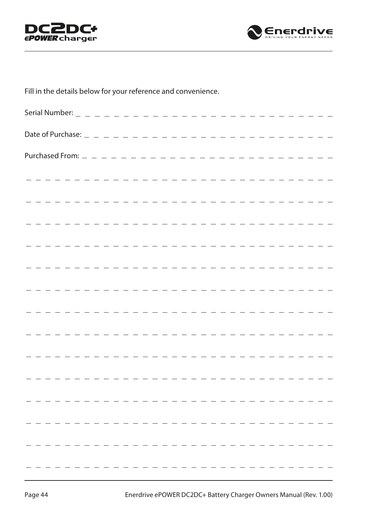



Fill in the details below for your reference and convenience.

| Serial Number: $        -$                                                                                                                                                                                                                                                                                        |  |  |  |  |  |  |  |                                 |  |  |  |  |  |  |  |  |
|-------------------------------------------------------------------------------------------------------------------------------------------------------------------------------------------------------------------------------------------------------------------------------------------------------------------|--|--|--|--|--|--|--|---------------------------------|--|--|--|--|--|--|--|--|
| Date of Purchase: $\frac{1}{2}$ $\frac{1}{2}$ $\frac{1}{2}$ $\frac{1}{2}$ $\frac{1}{2}$ $\frac{1}{2}$ $\frac{1}{2}$ $\frac{1}{2}$ $\frac{1}{2}$ $\frac{1}{2}$ $\frac{1}{2}$ $\frac{1}{2}$ $\frac{1}{2}$ $\frac{1}{2}$ $\frac{1}{2}$ $\frac{1}{2}$ $\frac{1}{2}$ $\frac{1}{2}$ $\frac{1}{2}$ $\frac{1}{2}$ $\frac$ |  |  |  |  |  |  |  |                                 |  |  |  |  |  |  |  |  |
|                                                                                                                                                                                                                                                                                                                   |  |  |  |  |  |  |  |                                 |  |  |  |  |  |  |  |  |
|                                                                                                                                                                                                                                                                                                                   |  |  |  |  |  |  |  | _____________________           |  |  |  |  |  |  |  |  |
|                                                                                                                                                                                                                                                                                                                   |  |  |  |  |  |  |  |                                 |  |  |  |  |  |  |  |  |
|                                                                                                                                                                                                                                                                                                                   |  |  |  |  |  |  |  | _______________________________ |  |  |  |  |  |  |  |  |
|                                                                                                                                                                                                                                                                                                                   |  |  |  |  |  |  |  | _____________________           |  |  |  |  |  |  |  |  |
|                                                                                                                                                                                                                                                                                                                   |  |  |  |  |  |  |  |                                 |  |  |  |  |  |  |  |  |
|                                                                                                                                                                                                                                                                                                                   |  |  |  |  |  |  |  |                                 |  |  |  |  |  |  |  |  |
|                                                                                                                                                                                                                                                                                                                   |  |  |  |  |  |  |  | ______________________________  |  |  |  |  |  |  |  |  |
|                                                                                                                                                                                                                                                                                                                   |  |  |  |  |  |  |  | ___________________             |  |  |  |  |  |  |  |  |
|                                                                                                                                                                                                                                                                                                                   |  |  |  |  |  |  |  | _____________________________   |  |  |  |  |  |  |  |  |
|                                                                                                                                                                                                                                                                                                                   |  |  |  |  |  |  |  | _____________________________   |  |  |  |  |  |  |  |  |
|                                                                                                                                                                                                                                                                                                                   |  |  |  |  |  |  |  |                                 |  |  |  |  |  |  |  |  |
|                                                                                                                                                                                                                                                                                                                   |  |  |  |  |  |  |  | ------------                    |  |  |  |  |  |  |  |  |
|                                                                                                                                                                                                                                                                                                                   |  |  |  |  |  |  |  | .                               |  |  |  |  |  |  |  |  |
|                                                                                                                                                                                                                                                                                                                   |  |  |  |  |  |  |  |                                 |  |  |  |  |  |  |  |  |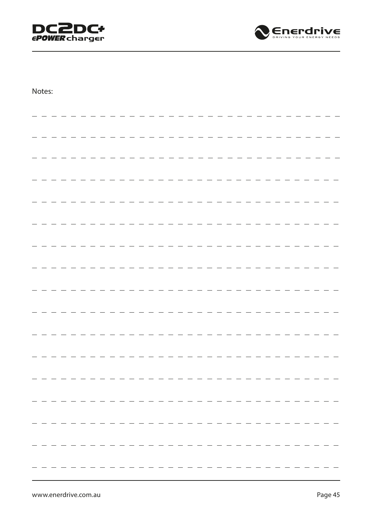



#### Notes: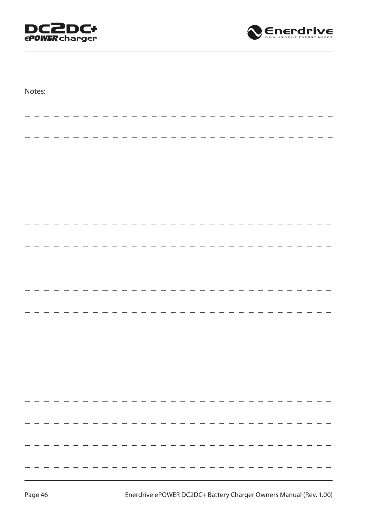



#### Notes: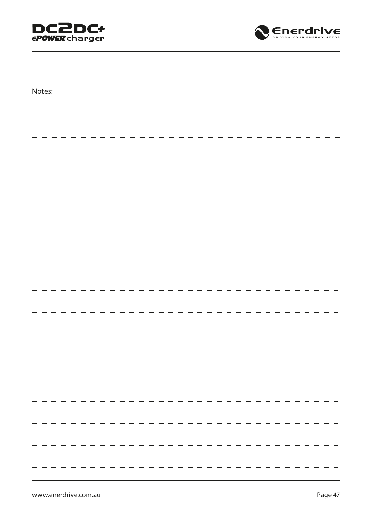



#### Notes: